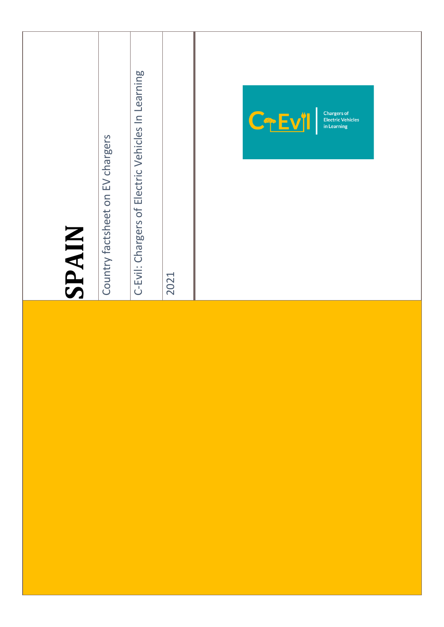| SPAIN | Country factsheet on EV chargers | C-Evil: Chargers of Electric Vehicles In Learning | 2021 | CTEVI<br><b>Chargers of<br/>Electric Vehicles</b><br>in Learning |
|-------|----------------------------------|---------------------------------------------------|------|------------------------------------------------------------------|
|       |                                  |                                                   |      |                                                                  |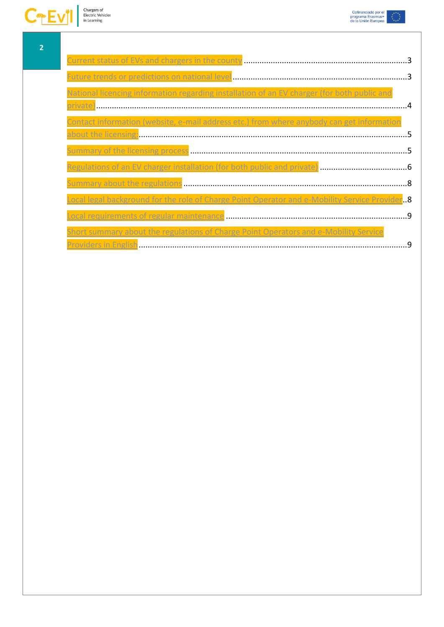



[Providers in English........................................................................................................................9](#page-8-1)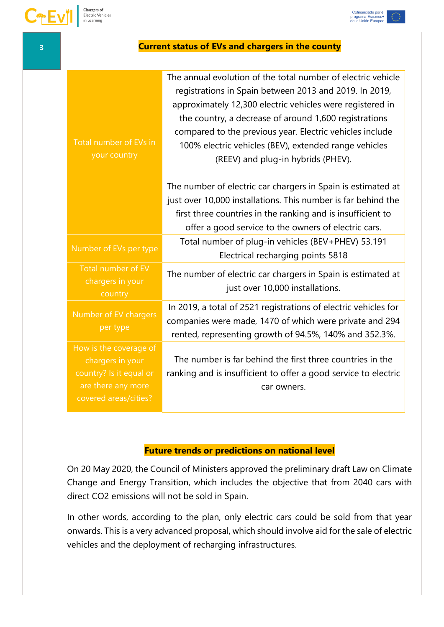

<span id="page-2-0"></span>

| 3 | <b>Current status of EVs and chargers in the county</b>                                                              |                                                                                                                                                                                                                                                                                                                                                                                                         |  |  |
|---|----------------------------------------------------------------------------------------------------------------------|---------------------------------------------------------------------------------------------------------------------------------------------------------------------------------------------------------------------------------------------------------------------------------------------------------------------------------------------------------------------------------------------------------|--|--|
|   | Total number of EVs in<br>your country                                                                               | The annual evolution of the total number of electric vehicle<br>registrations in Spain between 2013 and 2019. In 2019,<br>approximately 12,300 electric vehicles were registered in<br>the country, a decrease of around 1,600 registrations<br>compared to the previous year. Electric vehicles include<br>100% electric vehicles (BEV), extended range vehicles<br>(REEV) and plug-in hybrids (PHEV). |  |  |
|   |                                                                                                                      | The number of electric car chargers in Spain is estimated at<br>just over 10,000 installations. This number is far behind the<br>first three countries in the ranking and is insufficient to<br>offer a good service to the owners of electric cars.                                                                                                                                                    |  |  |
|   | Number of EVs per type                                                                                               | Total number of plug-in vehicles (BEV+PHEV) 53.191<br>Electrical recharging points 5818                                                                                                                                                                                                                                                                                                                 |  |  |
|   | Total number of EV<br>chargers in your<br>country                                                                    | The number of electric car chargers in Spain is estimated at<br>just over 10,000 installations.                                                                                                                                                                                                                                                                                                         |  |  |
|   | Number of EV chargers<br>per type                                                                                    | In 2019, a total of 2521 registrations of electric vehicles for<br>companies were made, 1470 of which were private and 294<br>rented, representing growth of 94.5%, 140% and 352.3%.                                                                                                                                                                                                                    |  |  |
|   | How is the coverage of<br>chargers in your<br>country? Is it equal or<br>are there any more<br>covered areas/cities? | The number is far behind the first three countries in the<br>ranking and is insufficient to offer a good service to electric<br>car owners.                                                                                                                                                                                                                                                             |  |  |

### **Future trends or predictions on national level**

<span id="page-2-1"></span>On 20 May 2020, the Council of Ministers approved the preliminary draft Law on Climate Change and Energy Transition, which includes the objective that from 2040 cars with direct CO2 emissions will not be sold in Spain.

In other words, according to the plan, only electric cars could be sold from that year onwards. This is a very advanced proposal, which should involve aid for the sale of electric vehicles and the deployment of recharging infrastructures.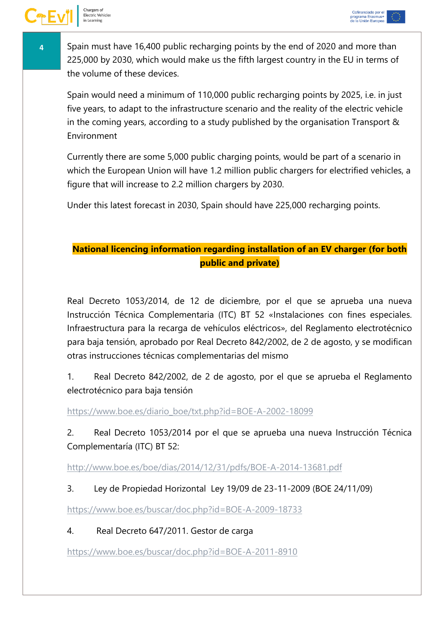

**4** Spain must have 16,400 public recharging points by the end of 2020 and more than 225,000 by 2030, which would make us the fifth largest country in the EU in terms of the volume of these devices.

Spain would need a minimum of 110,000 public recharging points by 2025, i.e. in just five years, to adapt to the infrastructure scenario and the reality of the electric vehicle in the coming years, according to a study published by the organisation Transport & Environment

Currently there are some 5,000 public charging points, would be part of a scenario in which the European Union will have 1.2 million public chargers for electrified vehicles, a figure that will increase to 2.2 million chargers by 2030.

Under this latest forecast in 2030, Spain should have 225,000 recharging points.

# <span id="page-3-0"></span>**National licencing information regarding installation of an EV charger (for both public and private)**

Real Decreto 1053/2014, de 12 de diciembre, por el que se aprueba una nueva Instrucción Técnica Complementaria (ITC) BT 52 «Instalaciones con fines especiales. Infraestructura para la recarga de vehículos eléctricos», del Reglamento electrotécnico para baja tensión, aprobado por Real Decreto 842/2002, de 2 de agosto, y se modifican otras instrucciones técnicas complementarias del mismo

1. Real Decreto 842/2002, de 2 de agosto, por el que se aprueba el Reglamento electrotécnico para baja tensión

[https://www.boe.es/diario\\_boe/txt.php?id=BOE-A-2002-18099](https://www.boe.es/diario_boe/txt.php?id=BOE-A-2002-18099)

2. Real Decreto 1053/2014 por el que se aprueba una nueva Instrucción Técnica Complementaría (ITC) BT 52:

<http://www.boe.es/boe/dias/2014/12/31/pdfs/BOE-A-2014-13681.pdf>

3. Ley de Propiedad Horizontal Ley 19/09 de 23-11-2009 (BOE 24/11/09)

<https://www.boe.es/buscar/doc.php?id=BOE-A-2009-18733>

4. Real Decreto 647/2011. Gestor de carga

<https://www.boe.es/buscar/doc.php?id=BOE-A-2011-8910>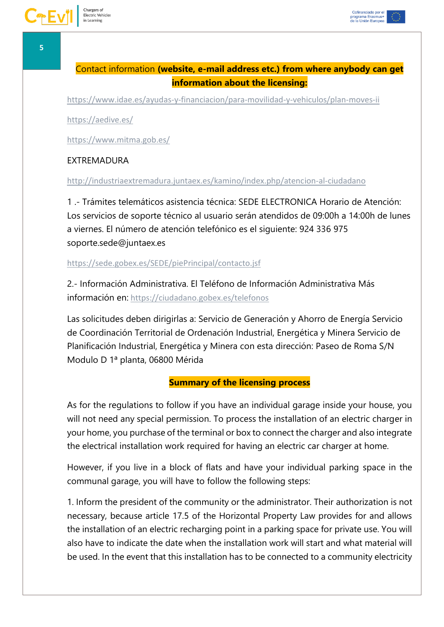<span id="page-4-0"></span><https://www.idae.es/ayudas-y-financiacion/para-movilidad-y-vehiculos/plan-moves-ii>

<https://aedive.es/>

<https://www.mitma.gob.es/>

### **EXTREMADURA**

<http://industriaextremadura.juntaex.es/kamino/index.php/atencion-al-ciudadano>

1 .- Trámites telemáticos asistencia técnica: SEDE ELECTRONICA Horario de Atención: Los servicios de soporte técnico al usuario serán atendidos de 09:00h a 14:00h de lunes a viernes. El número de atención telefónico es el siguiente: 924 336 975 soporte.sede@juntaex.es

<https://sede.gobex.es/SEDE/piePrincipal/contacto.jsf>

2.- Información Administrativa. El Teléfono de Información Administrativa Más información en: <https://ciudadano.gobex.es/telefonos>

Las solicitudes deben dirigirlas a: Servicio de Generación y Ahorro de Energía Servicio de Coordinación Territorial de Ordenación Industrial, Energética y Minera Servicio de Planificación Industrial, Energética y Minera con esta dirección: Paseo de Roma S/N Modulo D 1ª planta, 06800 Mérida

### **Summary of the licensing process**

<span id="page-4-1"></span>As for the regulations to follow if you have an individual garage inside your house, you will not need any special permission. To process the installation of an electric charger in your home, you purchase of the terminal or box to connect the charger and also integrate the electrical installation work required for having an electric car charger at home.

However, if you live in a block of flats and have your individual parking space in the communal garage, you will have to follow the following steps:

1. Inform the president of the community or the administrator. Their authorization is not necessary, because article 17.5 of the Horizontal Property Law provides for and allows the installation of an electric recharging point in a parking space for private use. You will also have to indicate the date when the installation work will start and what material will be used. In the event that this installation has to be connected to a community electricity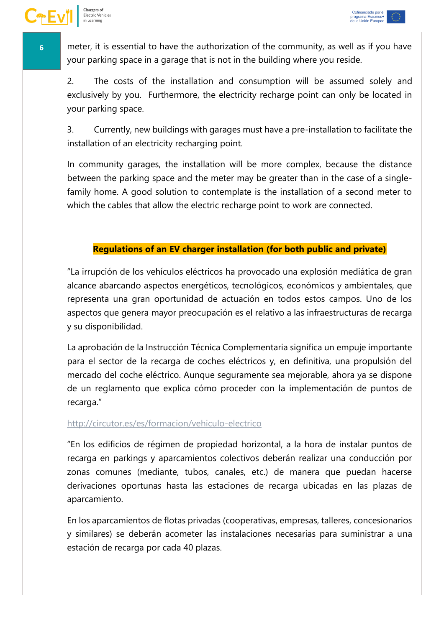

Chargers of

Electric Vehicles in Learning

**6 h** meter, it is essential to have the authorization of the community, as well as if you have your parking space in a garage that is not in the building where you reside.

2. The costs of the installation and consumption will be assumed solely and exclusively by you. Furthermore, the electricity recharge point can only be located in your parking space.

3. Currently, new buildings with garages must have a pre-installation to facilitate the installation of an electricity recharging point.

In community garages, the installation will be more complex, because the distance between the parking space and the meter may be greater than in the case of a singlefamily home. A good solution to contemplate is the installation of a second meter to which the cables that allow the electric recharge point to work are connected.

### **Regulations of an EV charger installation (for both public and private)**

<span id="page-5-0"></span>"La irrupción de los vehículos eléctricos ha provocado una explosión mediática de gran alcance abarcando aspectos energéticos, tecnológicos, económicos y ambientales, que representa una gran oportunidad de actuación en todos estos campos. Uno de los aspectos que genera mayor preocupación es el relativo a las infraestructuras de recarga y su disponibilidad.

La aprobación de la Instrucción Técnica Complementaria significa un empuje importante para el sector de la recarga de coches eléctricos y, en definitiva, una propulsión del mercado del coche eléctrico. Aunque seguramente sea mejorable, ahora ya se dispone de un reglamento que explica cómo proceder con la implementación de puntos de recarga."

#### <http://circutor.es/es/formacion/vehiculo-electrico>

"En los edificios de régimen de propiedad horizontal, a la hora de instalar puntos de recarga en parkings y aparcamientos colectivos deberán realizar una conducción por zonas comunes (mediante, tubos, canales, etc.) de manera que puedan hacerse derivaciones oportunas hasta las estaciones de recarga ubicadas en las plazas de aparcamiento.

En los aparcamientos de flotas privadas (cooperativas, empresas, talleres, concesionarios y similares) se deberán acometer las instalaciones necesarias para suministrar a una estación de recarga por cada 40 plazas.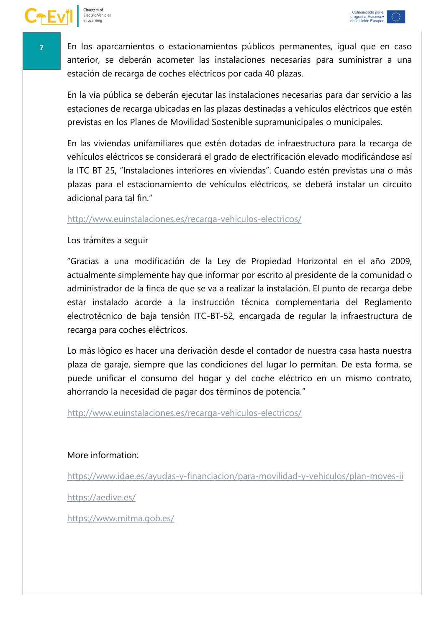**7** En los aparcamientos o estacionamientos públicos permanentes, igual que en caso anterior, se deberán acometer las instalaciones necesarias para suministrar a una estación de recarga de coches eléctricos por cada 40 plazas.

En la vía pública se deberán ejecutar las instalaciones necesarias para dar servicio a las estaciones de recarga ubicadas en las plazas destinadas a vehículos eléctricos que estén previstas en los Planes de Movilidad Sostenible supramunicipales o municipales.

En las viviendas unifamiliares que estén dotadas de infraestructura para la recarga de vehículos eléctricos se considerará el grado de electrificación elevado modificándose así la ITC BT 25, "Instalaciones interiores en viviendas". Cuando estén previstas una o más plazas para el estacionamiento de vehículos eléctricos, se deberá instalar un circuito adicional para tal fin."

### <http://www.euinstalaciones.es/recarga-vehiculos-electricos/>

### Los trámites a seguir

"Gracias a una modificación de la Ley de Propiedad Horizontal en el año 2009, actualmente simplemente hay que informar por escrito al presidente de la comunidad o administrador de la finca de que se va a realizar la instalación. El punto de recarga debe estar instalado acorde a la instrucción técnica complementaria del Reglamento electrotécnico de baja tensión ITC-BT-52, encargada de regular la infraestructura de recarga para coches eléctricos.

Lo más lógico es hacer una derivación desde el contador de nuestra casa hasta nuestra plaza de garaje, siempre que las condiciones del lugar lo permitan. De esta forma, se puede unificar el consumo del hogar y del coche eléctrico en un mismo contrato, ahorrando la necesidad de pagar dos términos de potencia."

<http://www.euinstalaciones.es/recarga-vehiculos-electricos/>

## More information:

<https://www.idae.es/ayudas-y-financiacion/para-movilidad-y-vehiculos/plan-moves-ii>

<https://aedive.es/>

<https://www.mitma.gob.es/>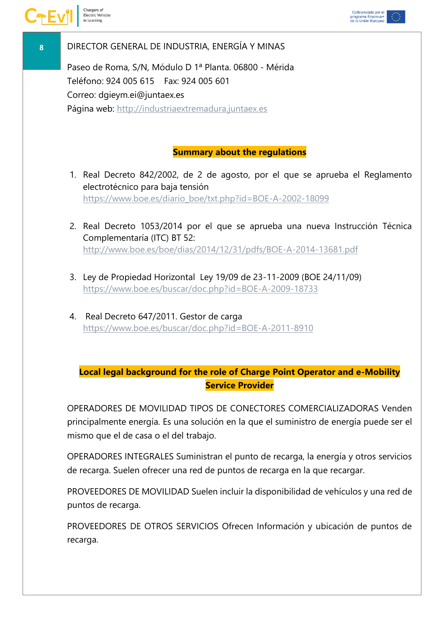

## **8** DIRECTOR GENERAL DE INDUSTRIA, ENERGÍA Y MINAS

Paseo de Roma, S/N, Módulo D 1ª Planta. 06800 - Mérida Teléfono: 924 005 615 Fax: 924 005 601 Correo: dgieym.ei@juntaex.es Página web: [http://industriaextremadura.juntaex.es](http://industriaextremadura.juntaex.es/)

## **Summary about the regulations**

- <span id="page-7-0"></span>1. Real Decreto 842/2002, de 2 de agosto, por el que se aprueba el Reglamento electrotécnico para baja tensión [https://www.boe.es/diario\\_boe/txt.php?id=BOE-A-2002-18099](https://www.boe.es/diario_boe/txt.php?id=BOE-A-2002-18099)
- 2. Real Decreto 1053/2014 por el que se aprueba una nueva Instrucción Técnica Complementaría (ITC) BT 52: <http://www.boe.es/boe/dias/2014/12/31/pdfs/BOE-A-2014-13681.pdf>
- 3. Ley de Propiedad Horizontal Ley 19/09 de 23-11-2009 [\(BOE](https://boe.es/buscar/doc.php?id=BOE-A-2009-18733) 24/11/09) <https://www.boe.es/buscar/doc.php?id=BOE-A-2009-18733>
- 4. Real Decreto 647/2011. Gestor de carga <https://www.boe.es/buscar/doc.php?id=BOE-A-2011-8910>

# <span id="page-7-1"></span>**Local legal background for the role of Charge Point Operator and e-Mobility Service Provider**

OPERADORES DE MOVILIDAD TIPOS DE CONECTORES COMERCIALIZADORAS Venden principalmente energía. Es una solución en la que el suministro de energía puede ser el mismo que el de casa o el del trabajo.

OPERADORES INTEGRALES Suministran el punto de recarga, la energía y otros servicios de recarga. Suelen ofrecer una red de puntos de recarga en la que recargar.

PROVEEDORES DE MOVILIDAD Suelen incluir la disponibilidad de vehículos y una red de puntos de recarga.

PROVEEDORES DE OTROS SERVICIOS Ofrecen Información y ubicación de puntos de recarga.